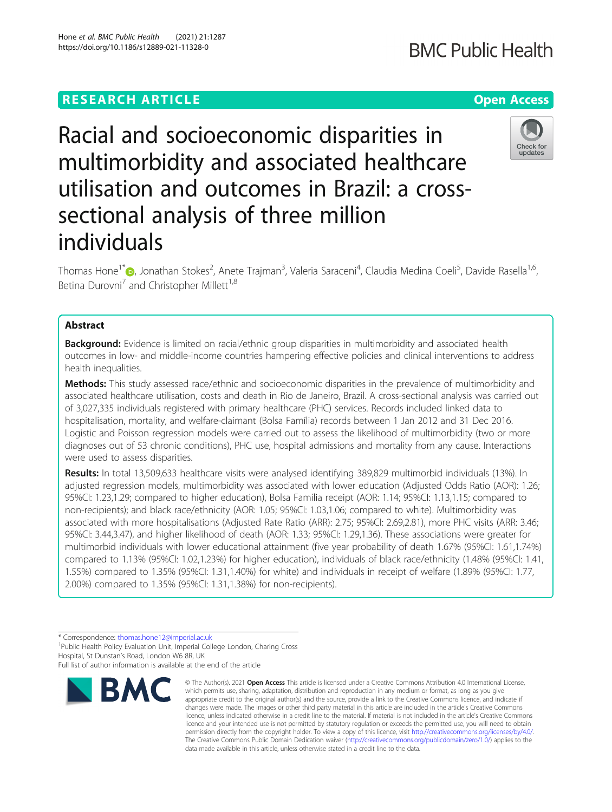# **RESEARCH ARTICLE Example 2014 12:30 The Contract of Contract ACCESS**

# Racial and socioeconomic disparities in multimorbidity and associated healthcare utilisation and outcomes in Brazil: a crosssectional analysis of three million individuals

Thomas Hone<sup>1[\\*](http://orcid.org/0000-0003-0703-6973)</sup>®, Jonathan Stokes<sup>2</sup>, Anete Trajman<sup>3</sup>, Valeria Saraceni<sup>4</sup>, Claudia Medina Coeli<sup>5</sup>, Davide Rasella<sup>1,6</sup>, Betina Durovni<sup>7</sup> and Christopher Millett<sup>1,8</sup>

# Abstract

**Background:** Evidence is limited on racial/ethnic group disparities in multimorbidity and associated health outcomes in low- and middle-income countries hampering effective policies and clinical interventions to address health inequalities.

Methods: This study assessed race/ethnic and socioeconomic disparities in the prevalence of multimorbidity and associated healthcare utilisation, costs and death in Rio de Janeiro, Brazil. A cross-sectional analysis was carried out of 3,027,335 individuals registered with primary healthcare (PHC) services. Records included linked data to hospitalisation, mortality, and welfare-claimant (Bolsa Família) records between 1 Jan 2012 and 31 Dec 2016. Logistic and Poisson regression models were carried out to assess the likelihood of multimorbidity (two or more diagnoses out of 53 chronic conditions), PHC use, hospital admissions and mortality from any cause. Interactions were used to assess disparities.

Results: In total 13,509,633 healthcare visits were analysed identifying 389,829 multimorbid individuals (13%). In adjusted regression models, multimorbidity was associated with lower education (Adjusted Odds Ratio (AOR): 1.26; 95%CI: 1.23,1.29; compared to higher education), Bolsa Família receipt (AOR: 1.14; 95%CI: 1.13,1.15; compared to non-recipients); and black race/ethnicity (AOR: 1.05; 95%CI: 1.03,1.06; compared to white). Multimorbidity was associated with more hospitalisations (Adjusted Rate Ratio (ARR): 2.75; 95%CI: 2.69,2.81), more PHC visits (ARR: 3.46; 95%CI: 3.44,3.47), and higher likelihood of death (AOR: 1.33; 95%CI: 1.29,1.36). These associations were greater for multimorbid individuals with lower educational attainment (five year probability of death 1.67% (95%CI: 1.61,1.74%) compared to 1.13% (95%CI: 1.02,1.23%) for higher education), individuals of black race/ethnicity (1.48% (95%CI: 1.41, 1.55%) compared to 1.35% (95%CI: 1.31,1.40%) for white) and individuals in receipt of welfare (1.89% (95%CI: 1.77, 2.00%) compared to 1.35% (95%CI: 1.31,1.38%) for non-recipients).

\* Correspondence: [thomas.hone12@imperial.ac.uk](mailto:thomas.hone12@imperial.ac.uk) <sup>1</sup>

<sup>1</sup>Public Health Policy Evaluation Unit, Imperial College London, Charing Cross Hospital, St Dunstan's Road, London W6 8R, UK

Full list of author information is available at the end of the article



<sup>©</sup> The Author(s), 2021 **Open Access** This article is licensed under a Creative Commons Attribution 4.0 International License, which permits use, sharing, adaptation, distribution and reproduction in any medium or format, as long as you give appropriate credit to the original author(s) and the source, provide a link to the Creative Commons licence, and indicate if changes were made. The images or other third party material in this article are included in the article's Creative Commons licence, unless indicated otherwise in a credit line to the material. If material is not included in the article's Creative Commons licence and your intended use is not permitted by statutory regulation or exceeds the permitted use, you will need to obtain permission directly from the copyright holder. To view a copy of this licence, visit [http://creativecommons.org/licenses/by/4.0/.](http://creativecommons.org/licenses/by/4.0/) The Creative Commons Public Domain Dedication waiver [\(http://creativecommons.org/publicdomain/zero/1.0/](http://creativecommons.org/publicdomain/zero/1.0/)) applies to the data made available in this article, unless otherwise stated in a credit line to the data.

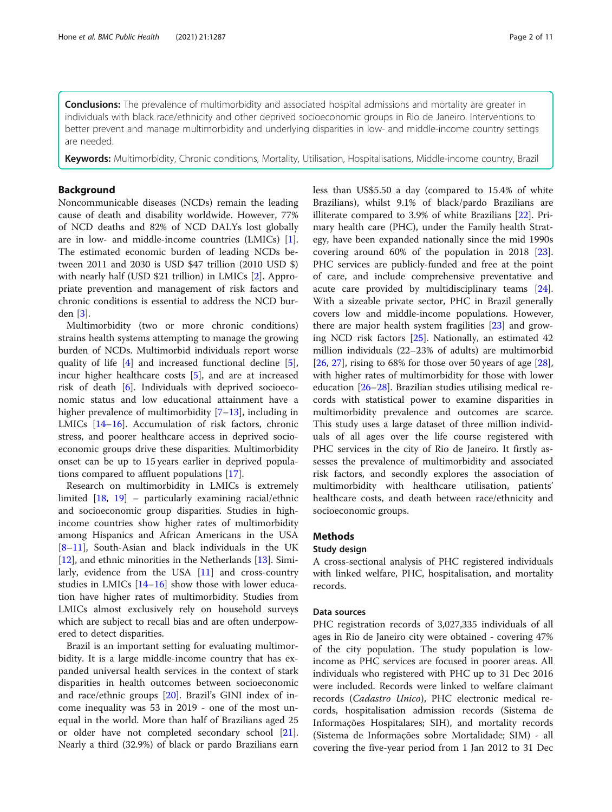**Conclusions:** The prevalence of multimorbidity and associated hospital admissions and mortality are greater in individuals with black race/ethnicity and other deprived socioeconomic groups in Rio de Janeiro. Interventions to better prevent and manage multimorbidity and underlying disparities in low- and middle-income country settings are needed.

Keywords: Multimorbidity, Chronic conditions, Mortality, Utilisation, Hospitalisations, Middle-income country, Brazil

# Background

Noncommunicable diseases (NCDs) remain the leading cause of death and disability worldwide. However, 77% of NCD deaths and 82% of NCD DALYs lost globally are in low- and middle-income countries (LMICs) [\[1](#page-9-0)]. The estimated economic burden of leading NCDs between 2011 and 2030 is USD \$47 trillion (2010 USD \$) with nearly half (USD \$21 trillion) in LMICs [\[2](#page-9-0)]. Appropriate prevention and management of risk factors and chronic conditions is essential to address the NCD burden [[3\]](#page-9-0).

Multimorbidity (two or more chronic conditions) strains health systems attempting to manage the growing burden of NCDs. Multimorbid individuals report worse quality of life [[4\]](#page-9-0) and increased functional decline [\[5](#page-9-0)], incur higher healthcare costs [\[5](#page-9-0)], and are at increased risk of death [[6\]](#page-9-0). Individuals with deprived socioeconomic status and low educational attainment have a higher prevalence of multimorbidity [[7](#page-9-0)–[13\]](#page-10-0), including in LMICs [\[14](#page-10-0)–[16\]](#page-10-0). Accumulation of risk factors, chronic stress, and poorer healthcare access in deprived socioeconomic groups drive these disparities. Multimorbidity onset can be up to 15 years earlier in deprived populations compared to affluent populations [\[17](#page-10-0)].

Research on multimorbidity in LMICs is extremely limited [[18,](#page-10-0) [19\]](#page-10-0) – particularly examining racial/ethnic and socioeconomic group disparities. Studies in highincome countries show higher rates of multimorbidity among Hispanics and African Americans in the USA [[8](#page-9-0)–[11\]](#page-10-0), South-Asian and black individuals in the UK [[12\]](#page-10-0), and ethnic minorities in the Netherlands [[13\]](#page-10-0). Similarly, evidence from the USA  $[11]$  $[11]$  and cross-country studies in LMICs [\[14](#page-10-0)–[16\]](#page-10-0) show those with lower education have higher rates of multimorbidity. Studies from LMICs almost exclusively rely on household surveys which are subject to recall bias and are often underpowered to detect disparities.

Brazil is an important setting for evaluating multimorbidity. It is a large middle-income country that has expanded universal health services in the context of stark disparities in health outcomes between socioeconomic and race/ethnic groups [\[20](#page-10-0)]. Brazil's GINI index of income inequality was 53 in 2019 - one of the most unequal in the world. More than half of Brazilians aged 25 or older have not completed secondary school [\[21](#page-10-0)]. Nearly a third (32.9%) of black or pardo Brazilians earn less than US\$5.50 a day (compared to 15.4% of white Brazilians), whilst 9.1% of black/pardo Brazilians are illiterate compared to 3.9% of white Brazilians [\[22](#page-10-0)]. Primary health care (PHC), under the Family health Strategy, have been expanded nationally since the mid 1990s covering around 60% of the population in 2018 [\[23](#page-10-0)]. PHC services are publicly-funded and free at the point of care, and include comprehensive preventative and acute care provided by multidisciplinary teams [\[24](#page-10-0)]. With a sizeable private sector, PHC in Brazil generally covers low and middle-income populations. However, there are major health system fragilities [[23\]](#page-10-0) and growing NCD risk factors [\[25](#page-10-0)]. Nationally, an estimated 42 million individuals (22–23% of adults) are multimorbid [[26,](#page-10-0) [27\]](#page-10-0), rising to 68% for those over 50 years of age [\[28](#page-10-0)], with higher rates of multimorbidity for those with lower education [\[26](#page-10-0)–[28\]](#page-10-0). Brazilian studies utilising medical records with statistical power to examine disparities in multimorbidity prevalence and outcomes are scarce. This study uses a large dataset of three million individuals of all ages over the life course registered with PHC services in the city of Rio de Janeiro. It firstly assesses the prevalence of multimorbidity and associated risk factors, and secondly explores the association of multimorbidity with healthcare utilisation, patients' healthcare costs, and death between race/ethnicity and socioeconomic groups.

# Methods

# Study design

A cross-sectional analysis of PHC registered individuals with linked welfare, PHC, hospitalisation, and mortality records.

# Data sources

PHC registration records of 3,027,335 individuals of all ages in Rio de Janeiro city were obtained - covering 47% of the city population. The study population is lowincome as PHC services are focused in poorer areas. All individuals who registered with PHC up to 31 Dec 2016 were included. Records were linked to welfare claimant records (Cadastro Unico), PHC electronic medical records, hospitalisation admission records (Sistema de Informações Hospitalares; SIH), and mortality records (Sistema de Informações sobre Mortalidade; SIM) - all covering the five-year period from 1 Jan 2012 to 31 Dec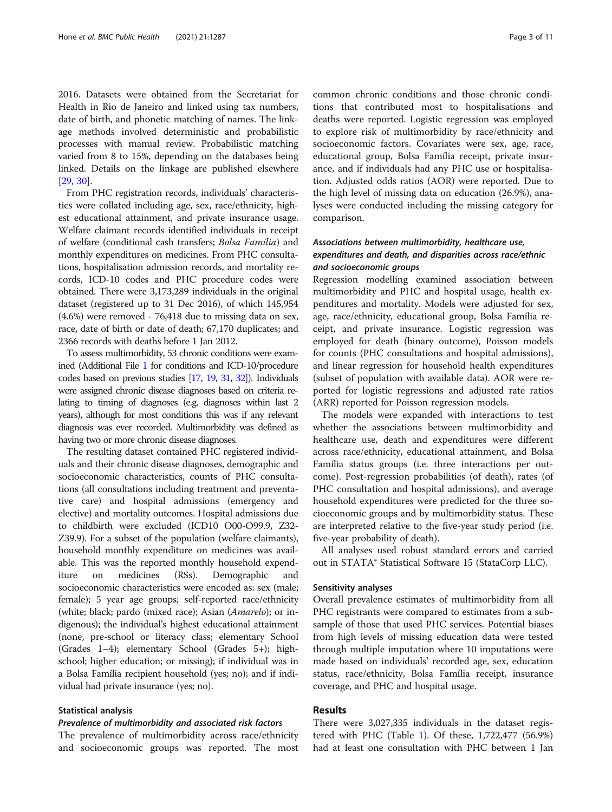2016. Datasets were obtained from the Secretariat for Health in Rio de Janeiro and linked using tax numbers, date of birth, and phonetic matching of names. The linkage methods involved deterministic and probabilistic processes with manual review. Probabilistic matching varied from 8 to 15%, depending on the databases being linked. Details on the linkage are published elsewhere [[29,](#page-10-0) [30\]](#page-10-0).

From PHC registration records, individuals' characteristics were collated including age, sex, race/ethnicity, highest educational attainment, and private insurance usage. Welfare claimant records identified individuals in receipt of welfare (conditional cash transfers; Bolsa Família) and monthly expenditures on medicines. From PHC consultations, hospitalisation admission records, and mortality records, ICD-10 codes and PHC procedure codes were obtained. There were 3,173,289 individuals in the original dataset (registered up to 31 Dec 2016), of which 145,954 (4.6%) were removed - 76,418 due to missing data on sex, race, date of birth or date of death; 67,170 duplicates; and 2366 records with deaths before 1 Jan 2012.

To assess multimorbidity, 53 chronic conditions were examined (Additional File [1](#page-9-0) for conditions and ICD-10/procedure codes based on previous studies [\[17](#page-10-0), [19,](#page-10-0) [31](#page-10-0), [32\]](#page-10-0)). Individuals were assigned chronic disease diagnoses based on criteria relating to timing of diagnoses (e.g. diagnoses within last 2 years), although for most conditions this was if any relevant diagnosis was ever recorded. Multimorbidity was defined as having two or more chronic disease diagnoses.

The resulting dataset contained PHC registered individuals and their chronic disease diagnoses, demographic and socioeconomic characteristics, counts of PHC consultations (all consultations including treatment and preventative care) and hospital admissions (emergency and elective) and mortality outcomes. Hospital admissions due to childbirth were excluded (ICD10 O00-O99.9, Z32- Z39.9). For a subset of the population (welfare claimants), household monthly expenditure on medicines was available. This was the reported monthly household expenditure on medicines (R\$s). Demographic and socioeconomic characteristics were encoded as: sex (male; female); 5 year age groups; self-reported race/ethnicity (white; black; pardo (mixed race); Asian (Amarelo); or indigenous); the individual's highest educational attainment (none, pre-school or literacy class; elementary School (Grades 1–4); elementary School (Grades 5+); highschool; higher education; or missing); if individual was in a Bolsa Família recipient household (yes; no); and if individual had private insurance (yes; no).

## Statistical analysis

## Prevalence of multimorbidity and associated risk factors

The prevalence of multimorbidity across race/ethnicity and socioeconomic groups was reported. The most

common chronic conditions and those chronic conditions that contributed most to hospitalisations and deaths were reported. Logistic regression was employed to explore risk of multimorbidity by race/ethnicity and socioeconomic factors. Covariates were sex, age, race, educational group, Bolsa Família receipt, private insurance, and if individuals had any PHC use or hospitalisation. Adjusted odds ratios (AOR) were reported. Due to the high level of missing data on education (26.9%), analyses were conducted including the missing category for comparison.

# Associations between multimorbidity, healthcare use, expenditures and death, and disparities across race/ethnic and socioeconomic groups

Regression modelling examined association between multimorbidity and PHC and hospital usage, health expenditures and mortality. Models were adjusted for sex, age, race/ethnicity, educational group, Bolsa Família receipt, and private insurance. Logistic regression was employed for death (binary outcome), Poisson models for counts (PHC consultations and hospital admissions), and linear regression for household health expenditures (subset of population with available data). AOR were reported for logistic regressions and adjusted rate ratios (ARR) reported for Poisson regression models.

The models were expanded with interactions to test whether the associations between multimorbidity and healthcare use, death and expenditures were different across race/ethnicity, educational attainment, and Bolsa Família status groups (i.e. three interactions per outcome). Post-regression probabilities (of death), rates (of PHC consultation and hospital admissions), and average household expenditures were predicted for the three socioeconomic groups and by multimorbidity status. These are interpreted relative to the five-year study period (i.e. five-year probability of death).

All analyses used robust standard errors and carried out in STATA® Statistical Software 15 (StataCorp LLC).

# Sensitivity analyses

Overall prevalence estimates of multimorbidity from all PHC registrants were compared to estimates from a subsample of those that used PHC services. Potential biases from high levels of missing education data were tested through multiple imputation where 10 imputations were made based on individuals' recorded age, sex, education status, race/ethnicity, Bolsa Família receipt, insurance coverage, and PHC and hospital usage.

# Results

There were 3,027,335 individuals in the dataset registered with PHC (Table [1\)](#page-3-0). Of these, 1,722,477 (56.9%) had at least one consultation with PHC between 1 Jan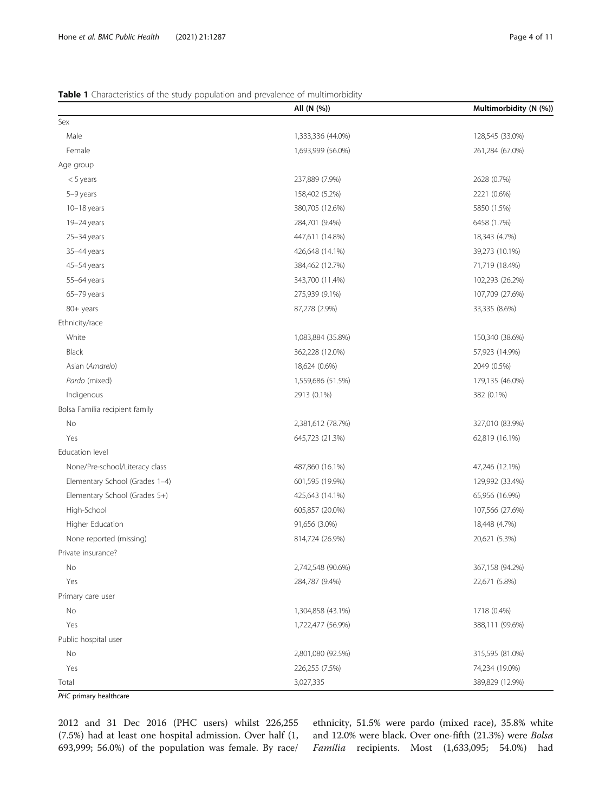# <span id="page-3-0"></span>Table 1 Characteristics of the study population and prevalence of multimorbidity

|                                | All (N (%))       | Multimorbidity (N (%)) |
|--------------------------------|-------------------|------------------------|
| Sex                            |                   |                        |
| Male                           | 1,333,336 (44.0%) | 128,545 (33.0%)        |
| Female                         | 1,693,999 (56.0%) | 261,284 (67.0%)        |
| Age group                      |                   |                        |
| $<$ 5 years                    | 237,889 (7.9%)    | 2628 (0.7%)            |
| 5-9 years                      | 158,402 (5.2%)    | 2221 (0.6%)            |
| $10-18$ years                  | 380,705 (12.6%)   | 5850 (1.5%)            |
| 19-24 years                    | 284,701 (9.4%)    | 6458 (1.7%)            |
| 25-34 years                    | 447,611 (14.8%)   | 18,343 (4.7%)          |
| 35-44 years                    | 426,648 (14.1%)   | 39,273 (10.1%)         |
| 45-54 years                    | 384,462 (12.7%)   | 71,719 (18.4%)         |
| 55-64 years                    | 343,700 (11.4%)   | 102,293 (26.2%)        |
| 65-79 years                    | 275,939 (9.1%)    | 107,709 (27.6%)        |
| 80+ years                      | 87,278 (2.9%)     | 33,335 (8.6%)          |
| Ethnicity/race                 |                   |                        |
| White                          | 1,083,884 (35.8%) | 150,340 (38.6%)        |
| Black                          | 362,228 (12.0%)   | 57,923 (14.9%)         |
| Asian (Amarelo)                | 18,624 (0.6%)     | 2049 (0.5%)            |
| Pardo (mixed)                  | 1,559,686 (51.5%) | 179,135 (46.0%)        |
| Indigenous                     | 2913 (0.1%)       | 382 (0.1%)             |
| Bolsa Família recipient family |                   |                        |
| No                             | 2,381,612 (78.7%) | 327,010 (83.9%)        |
| Yes                            | 645,723 (21.3%)   | 62,819 (16.1%)         |
| Education level                |                   |                        |
| None/Pre-school/Literacy class | 487,860 (16.1%)   | 47,246 (12.1%)         |
| Elementary School (Grades 1-4) | 601,595 (19.9%)   | 129,992 (33.4%)        |
| Elementary School (Grades 5+)  | 425,643 (14.1%)   | 65,956 (16.9%)         |
| High-School                    | 605,857 (20.0%)   | 107,566 (27.6%)        |
| Higher Education               | 91,656 (3.0%)     | 18,448 (4.7%)          |
| None reported (missing)        | 814,724 (26.9%)   | 20,621 (5.3%)          |
| Private insurance?             |                   |                        |
| No                             | 2,742,548 (90.6%) | 367,158 (94.2%)        |
| Yes                            | 284,787 (9.4%)    | 22,671 (5.8%)          |
| Primary care user              |                   |                        |
| No                             | 1,304,858 (43.1%) | 1718 (0.4%)            |
| Yes                            | 1,722,477 (56.9%) | 388,111 (99.6%)        |
| Public hospital user           |                   |                        |
| No                             | 2,801,080 (92.5%) | 315,595 (81.0%)        |
| Yes                            | 226,255 (7.5%)    | 74,234 (19.0%)         |
| Total                          | 3,027,335         | 389,829 (12.9%)        |

PHC primary healthcare

2012 and 31 Dec 2016 (PHC users) whilst 226,255 (7.5%) had at least one hospital admission. Over half (1, 693,999; 56.0%) of the population was female. By race/

ethnicity, 51.5% were pardo (mixed race), 35.8% white and 12.0% were black. Over one-fifth (21.3%) were Bolsa Família recipients. Most (1,633,095; 54.0%) had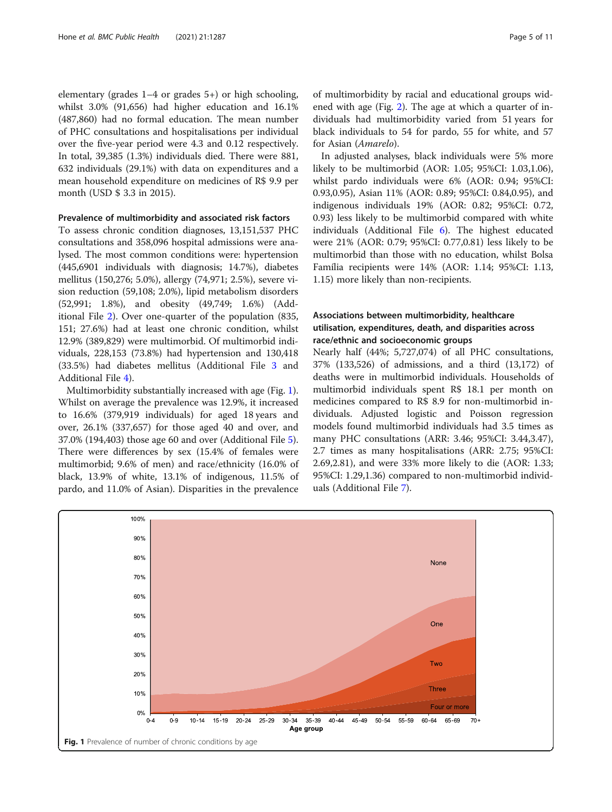elementary (grades 1–4 or grades 5+) or high schooling, whilst 3.0% (91,656) had higher education and 16.1% (487,860) had no formal education. The mean number of PHC consultations and hospitalisations per individual over the five-year period were 4.3 and 0.12 respectively. In total, 39,385 (1.3%) individuals died. There were 881, 632 individuals (29.1%) with data on expenditures and a mean household expenditure on medicines of R\$ 9.9 per month (USD \$ 3.3 in 2015).

# Prevalence of multimorbidity and associated risk factors

To assess chronic condition diagnoses, 13,151,537 PHC consultations and 358,096 hospital admissions were analysed. The most common conditions were: hypertension (445,6901 individuals with diagnosis; 14.7%), diabetes mellitus (150,276; 5.0%), allergy (74,971; 2.5%), severe vision reduction (59,108; 2.0%), lipid metabolism disorders (52,991; 1.8%), and obesity (49,749; 1.6%) (Additional File [2](#page-9-0)). Over one-quarter of the population (835, 151; 27.6%) had at least one chronic condition, whilst 12.9% (389,829) were multimorbid. Of multimorbid individuals, 228,153 (73.8%) had hypertension and 130,418 (33.5%) had diabetes mellitus (Additional File [3](#page-9-0) and Additional File [4](#page-9-0)).

Multimorbidity substantially increased with age (Fig. 1). Whilst on average the prevalence was 12.9%, it increased to 16.6% (379,919 individuals) for aged 18 years and over, 26.1% (337,657) for those aged 40 and over, and 37.0% (194,403) those age 60 and over (Additional File [5](#page-9-0)). There were differences by sex (15.4% of females were multimorbid; 9.6% of men) and race/ethnicity (16.0% of black, 13.9% of white, 13.1% of indigenous, 11.5% of pardo, and 11.0% of Asian). Disparities in the prevalence of multimorbidity by racial and educational groups widened with age (Fig. [2](#page-5-0)). The age at which a quarter of individuals had multimorbidity varied from 51 years for black individuals to 54 for pardo, 55 for white, and 57 for Asian (Amarelo).

In adjusted analyses, black individuals were 5% more likely to be multimorbid (AOR: 1.05; 95%CI: 1.03,1.06), whilst pardo individuals were 6% (AOR: 0.94; 95%CI: 0.93,0.95), Asian 11% (AOR: 0.89; 95%CI: 0.84,0.95), and indigenous individuals 19% (AOR: 0.82; 95%CI: 0.72, 0.93) less likely to be multimorbid compared with white individuals (Additional File [6\)](#page-9-0). The highest educated were 21% (AOR: 0.79; 95%CI: 0.77,0.81) less likely to be multimorbid than those with no education, whilst Bolsa Família recipients were 14% (AOR: 1.14; 95%CI: 1.13, 1.15) more likely than non-recipients.

# Associations between multimorbidity, healthcare utilisation, expenditures, death, and disparities across race/ethnic and socioeconomic groups

Nearly half (44%; 5,727,074) of all PHC consultations, 37% (133,526) of admissions, and a third (13,172) of deaths were in multimorbid individuals. Households of multimorbid individuals spent R\$ 18.1 per month on medicines compared to R\$ 8.9 for non-multimorbid individuals. Adjusted logistic and Poisson regression models found multimorbid individuals had 3.5 times as many PHC consultations (ARR: 3.46; 95%CI: 3.44,3.47), 2.7 times as many hospitalisations (ARR: 2.75; 95%CI: 2.69,2.81), and were 33% more likely to die (AOR: 1.33; 95%CI: 1.29,1.36) compared to non-multimorbid individuals (Additional File [7](#page-9-0)).

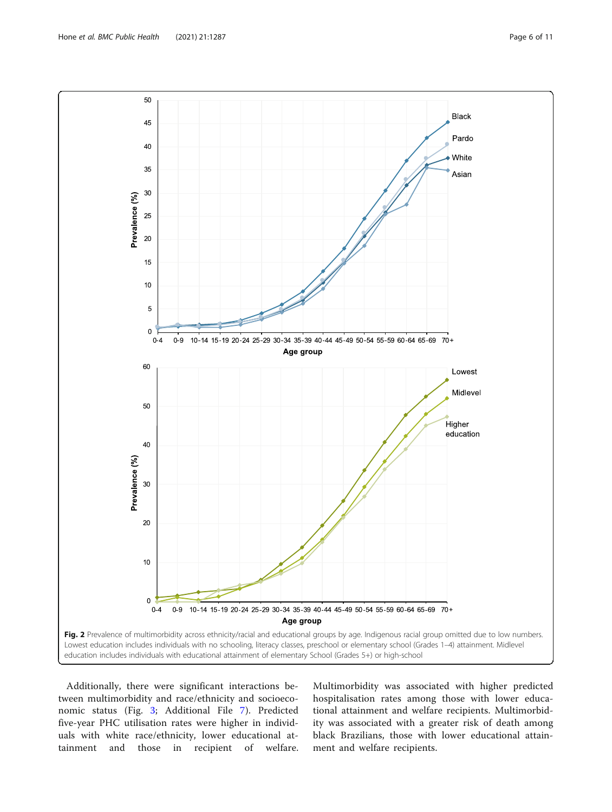<span id="page-5-0"></span>

Additionally, there were significant interactions between multimorbidity and race/ethnicity and socioeconomic status (Fig. [3](#page-6-0); Additional File [7\)](#page-9-0). Predicted five-year PHC utilisation rates were higher in individuals with white race/ethnicity, lower educational attainment and those in recipient of welfare.

Multimorbidity was associated with higher predicted hospitalisation rates among those with lower educational attainment and welfare recipients. Multimorbidity was associated with a greater risk of death among black Brazilians, those with lower educational attainment and welfare recipients.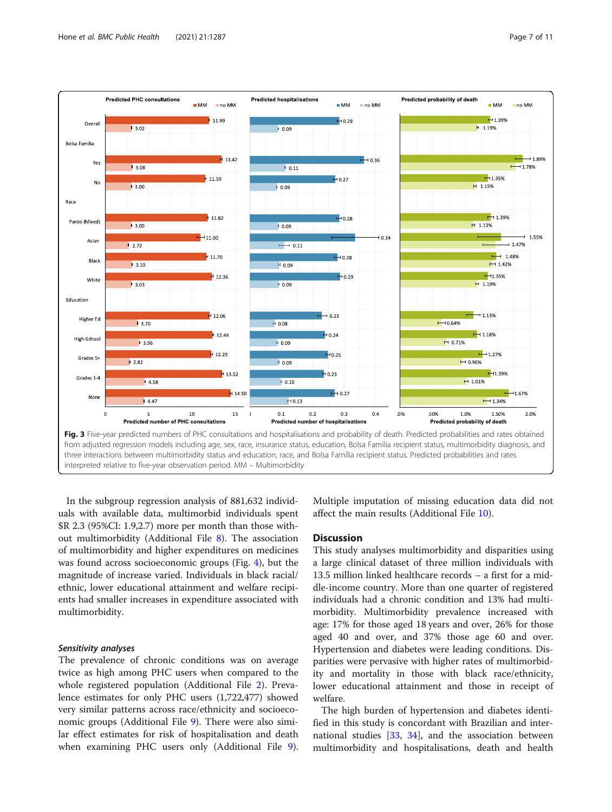<span id="page-6-0"></span>

In the subgroup regression analysis of 881,632 individuals with available data, multimorbid individuals spent \$R 2.3 (95%CI: 1.9,2.7) more per month than those without multimorbidity (Additional File [8](#page-9-0)). The association of multimorbidity and higher expenditures on medicines was found across socioeconomic groups (Fig. [4\)](#page-7-0), but the magnitude of increase varied. Individuals in black racial/ ethnic, lower educational attainment and welfare recipients had smaller increases in expenditure associated with multimorbidity.

# Sensitivity analyses

The prevalence of chronic conditions was on average twice as high among PHC users when compared to the whole registered population (Additional File [2](#page-9-0)). Prevalence estimates for only PHC users (1,722,477) showed very similar patterns across race/ethnicity and socioeconomic groups (Additional File [9\)](#page-9-0). There were also similar effect estimates for risk of hospitalisation and death when examining PHC users only (Additional File [9](#page-9-0)).

Multiple imputation of missing education data did not affect the main results (Additional File [10](#page-9-0)).

# **Discussion**

This study analyses multimorbidity and disparities using a large clinical dataset of three million individuals with 13.5 million linked healthcare records – a first for a middle-income country. More than one quarter of registered individuals had a chronic condition and 13% had multimorbidity. Multimorbidity prevalence increased with age: 17% for those aged 18 years and over, 26% for those aged 40 and over, and 37% those age 60 and over. Hypertension and diabetes were leading conditions. Disparities were pervasive with higher rates of multimorbidity and mortality in those with black race/ethnicity, lower educational attainment and those in receipt of welfare.

The high burden of hypertension and diabetes identified in this study is concordant with Brazilian and international studies  $[33, 34]$  $[33, 34]$  $[33, 34]$  $[33, 34]$ , and the association between multimorbidity and hospitalisations, death and health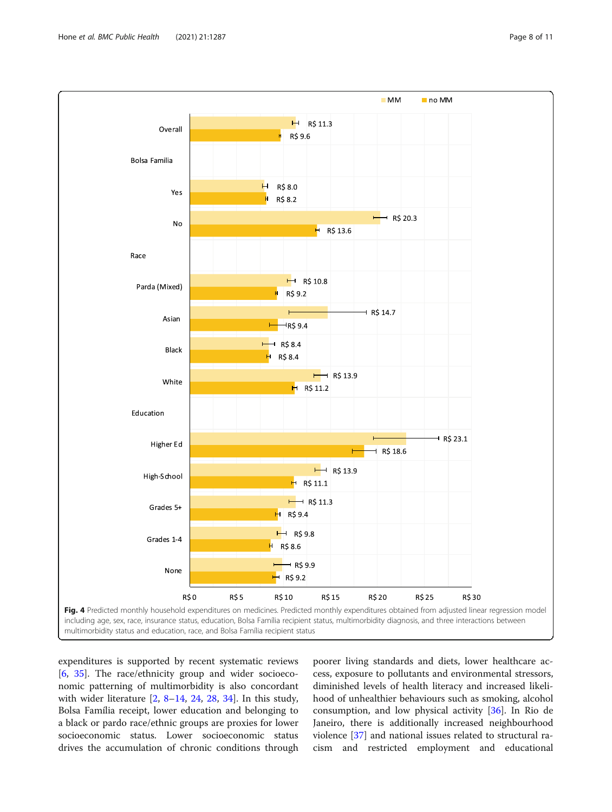<span id="page-7-0"></span>

expenditures is supported by recent systematic reviews [[6,](#page-9-0) [35\]](#page-10-0). The race/ethnicity group and wider socioeconomic patterning of multimorbidity is also concordant with wider literature [[2,](#page-9-0) [8](#page-9-0)–[14](#page-10-0), [24,](#page-10-0) [28](#page-10-0), [34\]](#page-10-0). In this study, Bolsa Família receipt, lower education and belonging to a black or pardo race/ethnic groups are proxies for lower socioeconomic status. Lower socioeconomic status drives the accumulation of chronic conditions through

poorer living standards and diets, lower healthcare access, exposure to pollutants and environmental stressors, diminished levels of health literacy and increased likelihood of unhealthier behaviours such as smoking, alcohol consumption, and low physical activity [[36\]](#page-10-0). In Rio de Janeiro, there is additionally increased neighbourhood violence [\[37](#page-10-0)] and national issues related to structural racism and restricted employment and educational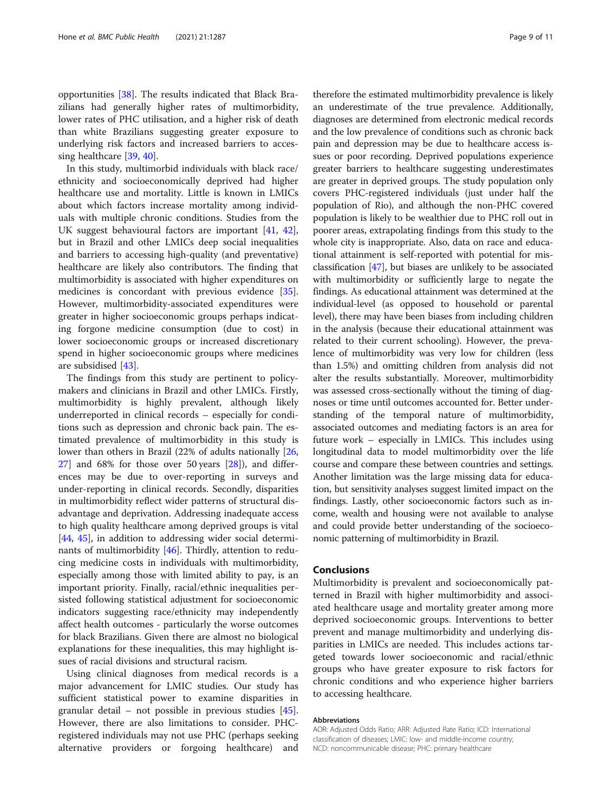opportunities [\[38\]](#page-10-0). The results indicated that Black Brazilians had generally higher rates of multimorbidity, lower rates of PHC utilisation, and a higher risk of death than white Brazilians suggesting greater exposure to underlying risk factors and increased barriers to accessing healthcare [\[39](#page-10-0), [40\]](#page-10-0).

In this study, multimorbid individuals with black race/ ethnicity and socioeconomically deprived had higher healthcare use and mortality. Little is known in LMICs about which factors increase mortality among individuals with multiple chronic conditions. Studies from the UK suggest behavioural factors are important [[41,](#page-10-0) [42](#page-10-0)], but in Brazil and other LMICs deep social inequalities and barriers to accessing high-quality (and preventative) healthcare are likely also contributors. The finding that multimorbidity is associated with higher expenditures on medicines is concordant with previous evidence [\[35](#page-10-0)]. However, multimorbidity-associated expenditures were greater in higher socioeconomic groups perhaps indicating forgone medicine consumption (due to cost) in lower socioeconomic groups or increased discretionary spend in higher socioeconomic groups where medicines are subsidised [[43\]](#page-10-0).

The findings from this study are pertinent to policymakers and clinicians in Brazil and other LMICs. Firstly, multimorbidity is highly prevalent, although likely underreported in clinical records – especially for conditions such as depression and chronic back pain. The estimated prevalence of multimorbidity in this study is lower than others in Brazil (22% of adults nationally [[26](#page-10-0), [27\]](#page-10-0) and 68% for those over 50 years [\[28](#page-10-0)]), and differences may be due to over-reporting in surveys and under-reporting in clinical records. Secondly, disparities in multimorbidity reflect wider patterns of structural disadvantage and deprivation. Addressing inadequate access to high quality healthcare among deprived groups is vital [[44,](#page-10-0) [45](#page-10-0)], in addition to addressing wider social determinants of multimorbidity [\[46\]](#page-10-0). Thirdly, attention to reducing medicine costs in individuals with multimorbidity, especially among those with limited ability to pay, is an important priority. Finally, racial/ethnic inequalities persisted following statistical adjustment for socioeconomic indicators suggesting race/ethnicity may independently affect health outcomes - particularly the worse outcomes for black Brazilians. Given there are almost no biological explanations for these inequalities, this may highlight issues of racial divisions and structural racism.

Using clinical diagnoses from medical records is a major advancement for LMIC studies. Our study has sufficient statistical power to examine disparities in granular detail – not possible in previous studies [\[45](#page-10-0)]. However, there are also limitations to consider. PHCregistered individuals may not use PHC (perhaps seeking alternative providers or forgoing healthcare) and

therefore the estimated multimorbidity prevalence is likely an underestimate of the true prevalence. Additionally, diagnoses are determined from electronic medical records and the low prevalence of conditions such as chronic back pain and depression may be due to healthcare access issues or poor recording. Deprived populations experience greater barriers to healthcare suggesting underestimates are greater in deprived groups. The study population only covers PHC-registered individuals (just under half the population of Rio), and although the non-PHC covered population is likely to be wealthier due to PHC roll out in poorer areas, extrapolating findings from this study to the whole city is inappropriate. Also, data on race and educational attainment is self-reported with potential for misclassification [[47\]](#page-10-0), but biases are unlikely to be associated with multimorbidity or sufficiently large to negate the findings. As educational attainment was determined at the individual-level (as opposed to household or parental level), there may have been biases from including children in the analysis (because their educational attainment was related to their current schooling). However, the prevalence of multimorbidity was very low for children (less than 1.5%) and omitting children from analysis did not alter the results substantially. Moreover, multimorbidity was assessed cross-sectionally without the timing of diagnoses or time until outcomes accounted for. Better understanding of the temporal nature of multimorbidity, associated outcomes and mediating factors is an area for future work – especially in LMICs. This includes using longitudinal data to model multimorbidity over the life course and compare these between countries and settings. Another limitation was the large missing data for education, but sensitivity analyses suggest limited impact on the findings. Lastly, other socioeconomic factors such as income, wealth and housing were not available to analyse and could provide better understanding of the socioeconomic patterning of multimorbidity in Brazil.

# Conclusions

Multimorbidity is prevalent and socioeconomically patterned in Brazil with higher multimorbidity and associated healthcare usage and mortality greater among more deprived socioeconomic groups. Interventions to better prevent and manage multimorbidity and underlying disparities in LMICs are needed. This includes actions targeted towards lower socioeconomic and racial/ethnic groups who have greater exposure to risk factors for chronic conditions and who experience higher barriers to accessing healthcare.

#### Abbreviations

AOR: Adjusted Odds Ratio; ARR: Adjusted Rate Ratio; ICD: International classification of diseases; LMIC: low- and middle-income country; NCD: noncommunicable disease; PHC: primary healthcare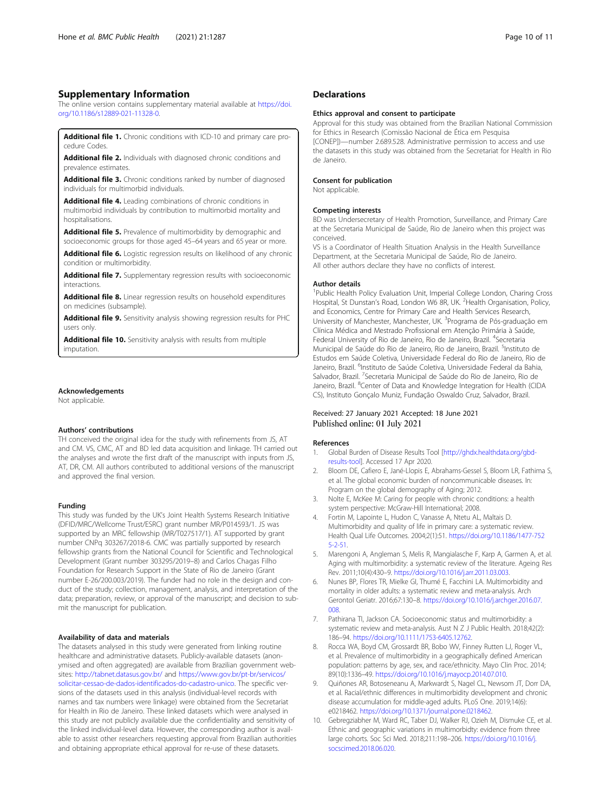# <span id="page-9-0"></span>Supplementary Information

The online version contains supplementary material available at [https://doi.](https://doi.org/10.1186/s12889-021-11328-0) [org/10.1186/s12889-021-11328-0.](https://doi.org/10.1186/s12889-021-11328-0)

Additional file 1. Chronic conditions with ICD-10 and primary care procedure Codes.

Additional file 2. Individuals with diagnosed chronic conditions and prevalence estimates.

Additional file 3. Chronic conditions ranked by number of diagnosed individuals for multimorbid individuals.

Additional file 4. Leading combinations of chronic conditions in multimorbid individuals by contribution to multimorbid mortality and hospitalisations.

Additional file 5. Prevalence of multimorbidity by demographic and socioeconomic groups for those aged 45–64 years and 65 year or more.

Additional file 6. Logistic regression results on likelihood of any chronic condition or multimorbidity.

Additional file 7. Supplementary regression results with socioeconomic interactions.

Additional file 8. Linear regression results on household expenditures on medicines (subsample).

Additional file 9. Sensitivity analysis showing regression results for PHC users only.

Additional file 10. Sensitivity analysis with results from multiple imputation.

# Acknowledgements

Not applicable.

# Authors' contributions

TH conceived the original idea for the study with refinements from JS, AT and CM. VS, CMC, AT and BD led data acquisition and linkage. TH carried out the analyses and wrote the first draft of the manuscript with inputs from JS, AT, DR, CM. All authors contributed to additional versions of the manuscript and approved the final version.

#### Funding

This study was funded by the UK's Joint Health Systems Research Initiative (DFID/MRC/Wellcome Trust/ESRC) grant number MR/P014593/1. JS was supported by an MRC fellowship (MR/T027517/1). AT supported by grant number CNPq 303267/2018-6. CMC was partially supported by research fellowship grants from the National Council for Scientific and Technological Development (Grant number 303295/2019–8) and Carlos Chagas Filho Foundation for Research Support in the State of Rio de Janeiro (Grant number E-26/200.003/2019). The funder had no role in the design and conduct of the study; collection, management, analysis, and interpretation of the data; preparation, review, or approval of the manuscript; and decision to submit the manuscript for publication.

#### Availability of data and materials

The datasets analysed in this study were generated from linking routine healthcare and administrative datasets. Publicly-available datasets (anonymised and often aggregated) are available from Brazilian government websites: <http://tabnet.datasus.gov.br/> and [https://www.gov.br/pt-br/servicos/](https://www.gov.br/pt-br/servicos/solicitar-cessao-de-dados-identificados-do-cadastro-unico) [solicitar-cessao-de-dados-identificados-do-cadastro-unico](https://www.gov.br/pt-br/servicos/solicitar-cessao-de-dados-identificados-do-cadastro-unico). The specific versions of the datasets used in this analysis (individual-level records with names and tax numbers were linkage) were obtained from the Secretariat for Health in Rio de Janeiro. These linked datasets which were analysed in this study are not publicly available due the confidentiality and sensitivity of the linked individual-level data. However, the corresponding author is available to assist other researchers requesting approval from Brazilian authorities and obtaining appropriate ethical approval for re-use of these datasets.

# **Declarations**

#### Ethics approval and consent to participate

Approval for this study was obtained from the Brazilian National Commission for Ethics in Research (Comissão Nacional de Ética em Pesquisa [CONEP])—number 2.689.528. Administrative permission to access and use the datasets in this study was obtained from the Secretariat for Health in Rio de Janeiro.

#### Consent for publication

Not applicable.

#### Competing interests

BD was Undersecretary of Health Promotion, Surveillance, and Primary Care at the Secretaria Municipal de Saúde, Rio de Janeiro when this project was conceived.

VS is a Coordinator of Health Situation Analysis in the Health Surveillance Department, at the Secretaria Municipal de Saúde, Rio de Janeiro. All other authors declare they have no conflicts of interest.

# Author details

<sup>1</sup>Public Health Policy Evaluation Unit, Imperial College London, Charing Cross Hospital, St Dunstan's Road, London W6 8R, UK. <sup>2</sup> Health Organisation, Policy, and Economics, Centre for Primary Care and Health Services Research, University of Manchester, Manchester, UK. <sup>3</sup> Programa de Pós-graduação em Clínica Médica and Mestrado Profissional em Atenção Primária à Saúde, Federal University of Rio de Janeiro, Rio de Janeiro, Brazil. <sup>4</sup>Secretaria Municipal de Saúde do Rio de Janeiro, Rio de Janeiro, Brazil. <sup>5</sup>Instituto de Estudos em Saúde Coletiva, Universidade Federal do Rio de Janeiro, Rio de Janeiro, Brazil. <sup>6</sup>Instituto de Saúde Coletiva, Universidade Federal da Bahia, Salvador, Brazil. <sup>7</sup>Secretaria Municipal de Saúde do Rio de Janeiro, Rio de Janeiro, Brazil. <sup>8</sup>Center of Data and Knowledge Integration for Health (CIDA CS), Instituto Gonçalo Muniz, Fundação Oswaldo Cruz, Salvador, Brazil.

# Received: 27 January 2021 Accepted: 18 June 2021 Published online: 01 July 2021

#### References

- 1. Global Burden of Disease Results Tool [[http://ghdx.healthdata.org/gbd](http://ghdx.healthdata.org/gbd-results-tool)[results-tool](http://ghdx.healthdata.org/gbd-results-tool)]. Accessed 17 Apr 2020.
- 2. Bloom DE, Cafiero E, Jané-Llopis E, Abrahams-Gessel S, Bloom LR, Fathima S, et al. The global economic burden of noncommunicable diseases. In: Program on the global demography of Aging; 2012.
- 3. Nolte E, McKee M: Caring for people with chronic conditions: a health system perspective: McGraw-Hill International; 2008.
- 4. Fortin M, Lapointe L, Hudon C, Vanasse A, Ntetu AL, Maltais D. Multimorbidity and quality of life in primary care: a systematic review. Health Qual Life Outcomes. 2004;2(1):51. [https://doi.org/10.1186/1477-752](https://doi.org/10.1186/1477-7525-2-51) [5-2-51.](https://doi.org/10.1186/1477-7525-2-51)
- 5. Marengoni A, Angleman S, Melis R, Mangialasche F, Karp A, Garmen A, et al. Aging with multimorbidity: a systematic review of the literature. Ageing Res Rev. 2011;10(4):430–9. <https://doi.org/10.1016/j.arr.2011.03.003>.
- 6. Nunes BP, Flores TR, Mielke GI, Thumé E, Facchini LA. Multimorbidity and mortality in older adults: a systematic review and meta-analysis. Arch Gerontol Geriatr. 2016;67:130–8. [https://doi.org/10.1016/j.archger.2016.07.](https://doi.org/10.1016/j.archger.2016.07.008) [008.](https://doi.org/10.1016/j.archger.2016.07.008)
- 7. Pathirana TI, Jackson CA. Socioeconomic status and multimorbidity: a systematic review and meta-analysis. Aust N Z J Public Health. 2018;42(2): 186–94. [https://doi.org/10.1111/1753-6405.12762.](https://doi.org/10.1111/1753-6405.12762)
- 8. Rocca WA, Boyd CM, Grossardt BR, Bobo WV, Finney Rutten LJ, Roger VL, et al. Prevalence of multimorbidity in a geographically defined American population: patterns by age, sex, and race/ethnicity. Mayo Clin Proc. 2014; 89(10):1336–49. [https://doi.org/10.1016/j.mayocp.2014.07.010.](https://doi.org/10.1016/j.mayocp.2014.07.010)
- 9. Quiñones AR, Botoseneanu A, Markwardt S, Nagel CL, Newsom JT, Dorr DA, et al. Racial/ethnic differences in multimorbidity development and chronic disease accumulation for middle-aged adults. PLoS One. 2019;14(6): e0218462. <https://doi.org/10.1371/journal.pone.0218462>.
- 10. Gebregziabher M, Ward RC, Taber DJ, Walker RJ, Ozieh M, Dismuke CE, et al. Ethnic and geographic variations in multimorbidty: evidence from three large cohorts. Soc Sci Med. 2018;211:198–206. [https://doi.org/10.1016/j.](https://doi.org/10.1016/j.socscimed.2018.06.020) [socscimed.2018.06.020.](https://doi.org/10.1016/j.socscimed.2018.06.020)